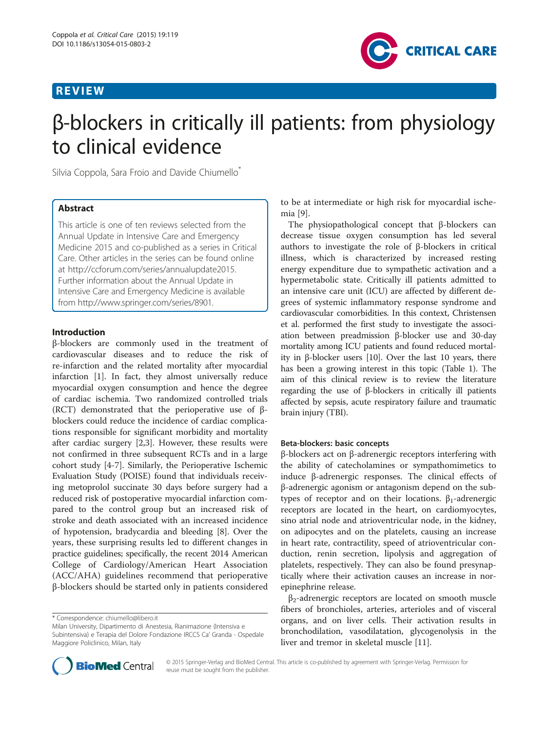# REVIEW



# β-blockers in critically ill patients: from physiology to clinical evidence

Silvia Coppola, Sara Froio and Davide Chiumello<sup>\*</sup>

# Abstract

This article is one of ten reviews selected from the Annual Update in Intensive Care and Emergency Medicine 2015 and co-published as a series in Critical Care. Other articles in the series can be found online at [http://ccforum.com/series/annualupdate2015.](http://ccforum.com/series/annualupdate2015) Further information about the Annual Update in Intensive Care and Emergency Medicine is available from [http://www.springer.com/series/8901.](http://www.springer.com/series/8901)

## Introduction

β-blockers are commonly used in the treatment of cardiovascular diseases and to reduce the risk of re-infarction and the related mortality after myocardial infarction [\[1\]](#page-7-0). In fact, they almost universally reduce myocardial oxygen consumption and hence the degree of cardiac ischemia. Two randomized controlled trials (RCT) demonstrated that the perioperative use of  $\beta$ blockers could reduce the incidence of cardiac complications responsible for significant morbidity and mortality after cardiac surgery [[2](#page-7-0),[3](#page-7-0)]. However, these results were not confirmed in three subsequent RCTs and in a large cohort study [\[4](#page-7-0)-[7](#page-7-0)]. Similarly, the Perioperative Ischemic Evaluation Study (POISE) found that individuals receiving metoprolol succinate 30 days before surgery had a reduced risk of postoperative myocardial infarction compared to the control group but an increased risk of stroke and death associated with an increased incidence of hypotension, bradycardia and bleeding [[8](#page-7-0)]. Over the years, these surprising results led to different changes in practice guidelines; specifically, the recent 2014 American College of Cardiology/American Heart Association (ACC/AHA) guidelines recommend that perioperative β-blockers should be started only in patients considered

to be at intermediate or high risk for myocardial ischemia [[9](#page-7-0)].

The physiopathological concept that β-blockers can decrease tissue oxygen consumption has led several authors to investigate the role of β-blockers in critical illness, which is characterized by increased resting energy expenditure due to sympathetic activation and a hypermetabolic state. Critically ill patients admitted to an intensive care unit (ICU) are affected by different degrees of systemic inflammatory response syndrome and cardiovascular comorbidities. In this context, Christensen et al. performed the first study to investigate the association between preadmission β-blocker use and 30-day mortality among ICU patients and found reduced mortality in β-blocker users [\[10](#page-7-0)]. Over the last 10 years, there has been a growing interest in this topic (Table [1](#page-1-0)). The aim of this clinical review is to review the literature regarding the use of β-blockers in critically ill patients affected by sepsis, acute respiratory failure and traumatic brain injury (TBI).

#### Beta-blockers: basic concepts

β-blockers act on β-adrenergic receptors interfering with the ability of catecholamines or sympathomimetics to induce β-adrenergic responses. The clinical effects of β-adrenergic agonism or antagonism depend on the subtypes of receptor and on their locations.  $β₁$ -adrenergic receptors are located in the heart, on cardiomyocytes, sino atrial node and atrioventricular node, in the kidney, on adipocytes and on the platelets, causing an increase in heart rate, contractility, speed of atrioventricular conduction, renin secretion, lipolysis and aggregation of platelets, respectively. They can also be found presynaptically where their activation causes an increase in norepinephrine release.

 $\beta_2$ -adrenergic receptors are located on smooth muscle fibers of bronchioles, arteries, arterioles and of visceral organs, and on liver cells. Their activation results in bronchodilation, vasodilatation, glycogenolysis in the liver and tremor in skeletal muscle [\[11](#page-7-0)].



© 2015 Springer-Verlag and BioMed Central. This article is co-published by agreement with Springer-Verlag. Permission for reuse must be sought from the publisher.

<sup>\*</sup> Correspondence: [chiumello@libero.it](mailto:chiumello@libero.it)

Milan University, Dipartimento di Anestesia, Rianimazione (Intensiva e Subintensiva) e Terapia del Dolore Fondazione IRCCS Ca' Granda - Ospedale Maggiore Policlinico, Milan, Italy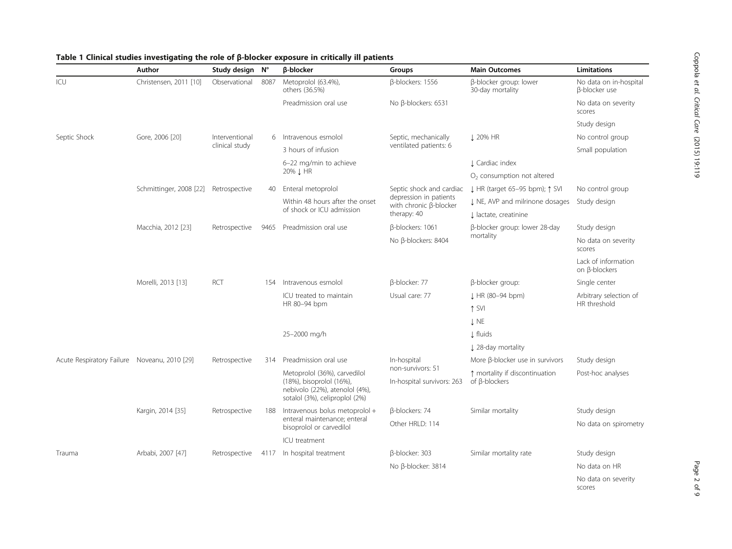|                                              | Author                  | Study design N°                  |      | β-blocker                                                                                                                    | Groups                                                                                             | <b>Main Outcomes</b>                                   | <b>Limitations</b>                                 |
|----------------------------------------------|-------------------------|----------------------------------|------|------------------------------------------------------------------------------------------------------------------------------|----------------------------------------------------------------------------------------------------|--------------------------------------------------------|----------------------------------------------------|
| ICU                                          | Christensen, 2011 [10]  | Observational                    | 8087 | Metoprolol (63.4%),<br>others (36.5%)                                                                                        | B-blockers: 1556                                                                                   | β-blocker group: lower<br>30-day mortality             | No data on in-hospital<br><b>ß-blocker use</b>     |
|                                              |                         |                                  |      | Preadmission oral use                                                                                                        | No $β$ -blockers: 6531                                                                             |                                                        | No data on severity<br>scores                      |
|                                              |                         |                                  |      |                                                                                                                              |                                                                                                    |                                                        | Study design                                       |
| Septic Shock                                 | Gore, 2006 [20]         | Interventional<br>clinical study | 6.   | Intravenous esmolol                                                                                                          | Septic, mechanically<br>ventilated patients: 6                                                     | <b>1 20% HR</b>                                        | No control group                                   |
|                                              |                         |                                  |      | 3 hours of infusion                                                                                                          |                                                                                                    |                                                        | Small population                                   |
|                                              |                         |                                  |      | 6-22 mg/min to achieve                                                                                                       |                                                                                                    | L Cardiac index                                        |                                                    |
|                                              |                         |                                  |      | 20% J HR                                                                                                                     |                                                                                                    | $O2$ consumption not altered                           |                                                    |
|                                              | Schmittinger, 2008 [22] | Retrospective                    | 40   | Enteral metoprolol                                                                                                           | Septic shock and cardiac<br>depression in patients<br>with chronic $\beta$ -blocker<br>therapy: 40 | J HR (target 65-95 bpm); 1 SVI                         | No control group                                   |
|                                              |                         |                                  |      | Within 48 hours after the onset<br>of shock or ICU admission                                                                 |                                                                                                    | J NE, AVP and milrinone dosages                        | Study design                                       |
|                                              |                         |                                  |      |                                                                                                                              |                                                                                                    | J lactate, creatinine                                  |                                                    |
|                                              | Macchia, 2012 [23]      | Retrospective                    | 9465 | Preadmission oral use                                                                                                        | B-blockers: 1061                                                                                   | β-blocker group: lower 28-day                          | Study design                                       |
|                                              |                         |                                  |      |                                                                                                                              | No β-blockers: 8404                                                                                | mortality                                              | No data on severity<br>scores                      |
|                                              |                         |                                  |      |                                                                                                                              |                                                                                                    |                                                        | Lack of information<br>on <i><b>ß-blockers</b></i> |
|                                              | Morelli, 2013 [13]      | <b>RCT</b>                       | 154  | Intravenous esmolol                                                                                                          | B-blocker: 77                                                                                      | β-blocker group:                                       | Single center                                      |
|                                              |                         |                                  |      | ICU treated to maintain<br>HR 80-94 bpm                                                                                      | Usual care: 77                                                                                     | J HR (80-94 bpm)                                       | Arbitrary selection of<br>HR threshold             |
|                                              |                         |                                  |      |                                                                                                                              |                                                                                                    | ↑ SVI                                                  |                                                    |
|                                              |                         |                                  |      |                                                                                                                              |                                                                                                    | $\downarrow$ NE                                        |                                                    |
|                                              |                         |                                  |      | 25-2000 mg/h                                                                                                                 |                                                                                                    | <b>L</b> fluids                                        |                                                    |
|                                              |                         |                                  |      |                                                                                                                              |                                                                                                    | 1 28-day mortality                                     |                                                    |
| Acute Respiratory Failure Noveanu, 2010 [29] |                         | Retrospective                    | 314  | Preadmission oral use                                                                                                        | In-hospital<br>non-survivors: 51<br>In-hospital survivors: 263                                     | More ß-blocker use in survivors                        | Study design                                       |
|                                              |                         |                                  |      | Metoprolol (36%), carvedilol<br>(18%), bisoprolol (16%),<br>nebivolo (22%), atenolol (4%),<br>sotalol (3%), celiproplol (2%) |                                                                                                    | ↑ mortality if discontinuation<br>$of \beta$ -blockers | Post-hoc analyses                                  |
|                                              | Kargin, 2014 [35]       | Retrospective                    | 188  | Intravenous bolus metoprolol +<br>enteral maintenance; enteral<br>bisoprolol or carvedilol                                   | β-blockers: 74                                                                                     | Similar mortality                                      | Study design                                       |
|                                              |                         |                                  |      |                                                                                                                              | Other HRLD: 114                                                                                    |                                                        | No data on spirometry                              |
|                                              |                         |                                  |      | ICU treatment                                                                                                                |                                                                                                    |                                                        |                                                    |
| Trauma                                       | Arbabi, 2007 [47]       | Retrospective                    |      | 4117 In hospital treatment                                                                                                   | B-blocker: 303                                                                                     | Similar mortality rate                                 | Study design                                       |
|                                              |                         |                                  |      |                                                                                                                              | No B-blocker: 3814                                                                                 |                                                        | No data on HR                                      |
|                                              |                         |                                  |      |                                                                                                                              |                                                                                                    |                                                        | No data on severity                                |

# <span id="page-1-0"></span>Table 1 Clinical studies investigating the role of β-blocker exposure in critically ill patients

scores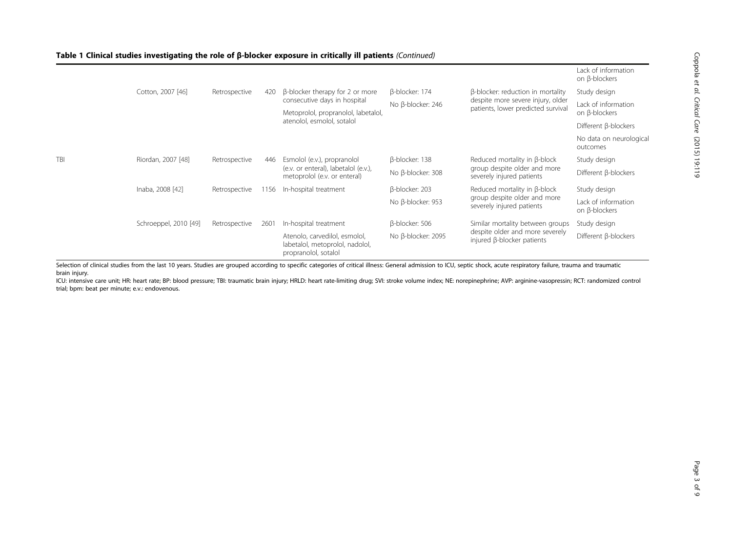Lack of information

#### Table 1 Clinical studies investigating the role of β-blocker exposure in critically ill patients (Continued)

|            |                       |               |      |                                                                                                     |                    |                                                                                                                     | on <i>β</i> -blockers                        |
|------------|-----------------------|---------------|------|-----------------------------------------------------------------------------------------------------|--------------------|---------------------------------------------------------------------------------------------------------------------|----------------------------------------------|
|            | Cotton, 2007 [46]     | Retrospective | 420  | $\beta$ -blocker therapy for 2 or more                                                              | B-blocker: 174     | $\beta$ -blocker: reduction in mortality<br>despite more severe injury, older<br>patients, lower predicted survival | Study design                                 |
|            |                       |               |      | consecutive days in hospital<br>Metoprolol, propranolol, labetalol,<br>atenolol, esmolol, sotalol   | No B-blocker: 246  |                                                                                                                     | Lack of information<br>on <i>β</i> -blockers |
|            |                       |               |      |                                                                                                     |                    |                                                                                                                     | Different B-blockers                         |
|            |                       |               |      |                                                                                                     |                    |                                                                                                                     | No data on neurological<br>outcomes          |
| <b>TBI</b> | Riordan, 2007 [48]    | Retrospective | 446  | Esmolol (e.v.), propranolol<br>(e.v. or enteral), labetalol (e.v.),<br>metoprolol (e.v. or enteral) | B-blocker: 138     | Reduced mortality in B-block<br>group despite older and more<br>severely injured patients                           | Study design                                 |
|            |                       |               |      |                                                                                                     | No B-blocker: 308  |                                                                                                                     | Different B-blockers                         |
|            | Inaba, 2008 [42]      | Retrospective | 1156 | In-hospital treatment                                                                               | B-blocker: 203     | Reduced mortality in B-block<br>group despite older and more<br>severely injured patients                           | Study design                                 |
|            |                       |               |      |                                                                                                     | No β-blocker: 953  |                                                                                                                     | Lack of information<br>on <i>β</i> -blockers |
|            | Schroeppel, 2010 [49] | Retrospective | 2601 | In-hospital treatment                                                                               | B-blocker: 506     | Similar mortality between groups<br>despite older and more severely<br>injured ß-blocker patients                   | Study design                                 |
|            |                       |               |      | Atenolo, carvedilol, esmolol,<br>labetalol, metoprolol, nadolol,<br>propranolol, sotalol            | No B-blocker: 2095 |                                                                                                                     | Different $\beta$ -blockers                  |

Selection of clinical studies from the last 10 years. Studies are grouped according to specific categories of critical illness: General admission to ICU, septic shock, acute respiratory failure, trauma and traumatic brain injury.

ICU: intensive care unit; HR: heart rate; BP: blood pressure; TBI: traumatic brain injury; HRLD: heart rate-limiting drug; SVI: stroke volume index; NE: norepinephrine; AVP: arginine-vasopressin; RCT: randomized control trial; bpm: beat per minute; e.v.: endovenous.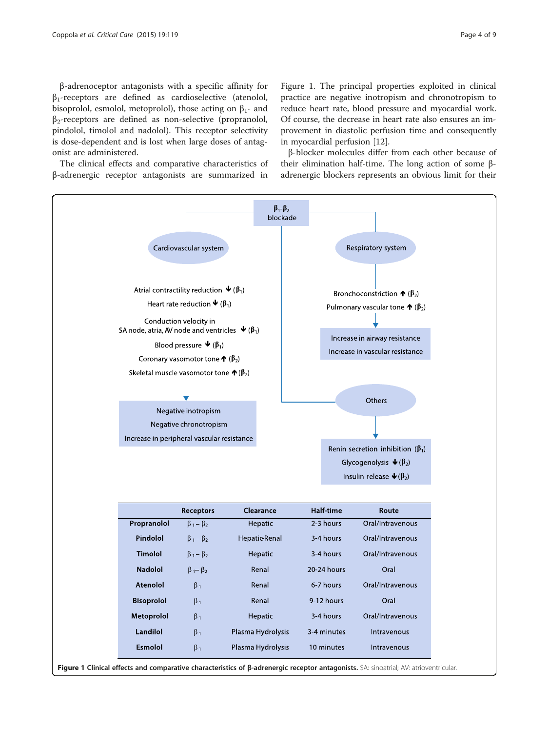β-adrenoceptor antagonists with a specific affinity for β1-receptors are defined as cardioselective (atenolol, bisoprolol, esmolol, metoprolol), those acting on  $\beta_1$ - and β2-receptors are defined as non-selective (propranolol, pindolol, timolol and nadolol). This receptor selectivity is dose-dependent and is lost when large doses of antagonist are administered.

The clinical effects and comparative characteristics of β-adrenergic receptor antagonists are summarized in

Figure 1. The principal properties exploited in clinical practice are negative inotropism and chronotropism to reduce heart rate, blood pressure and myocardial work. Of course, the decrease in heart rate also ensures an improvement in diastolic perfusion time and consequently in myocardial perfusion [[12\]](#page-7-0).

β-blocker molecules differ from each other because of their elimination half-time. The long action of some βadrenergic blockers represents an obvious limit for their

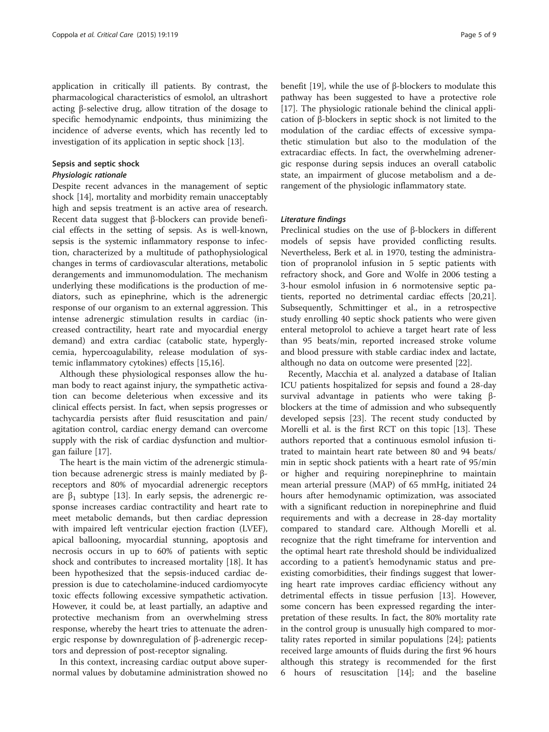application in critically ill patients. By contrast, the pharmacological characteristics of esmolol, an ultrashort acting β-selective drug, allow titration of the dosage to specific hemodynamic endpoints, thus minimizing the incidence of adverse events, which has recently led to investigation of its application in septic shock [[13\]](#page-7-0).

# Sepsis and septic shock

# Physiologic rationale

Despite recent advances in the management of septic shock [\[14](#page-7-0)], mortality and morbidity remain unacceptably high and sepsis treatment is an active area of research. Recent data suggest that β-blockers can provide beneficial effects in the setting of sepsis. As is well-known, sepsis is the systemic inflammatory response to infection, characterized by a multitude of pathophysiological changes in terms of cardiovascular alterations, metabolic derangements and immunomodulation. The mechanism underlying these modifications is the production of mediators, such as epinephrine, which is the adrenergic response of our organism to an external aggression. This intense adrenergic stimulation results in cardiac (increased contractility, heart rate and myocardial energy demand) and extra cardiac (catabolic state, hyperglycemia, hypercoagulability, release modulation of systemic inflammatory cytokines) effects [[15](#page-7-0),[16](#page-7-0)].

Although these physiological responses allow the human body to react against injury, the sympathetic activation can become deleterious when excessive and its clinical effects persist. In fact, when sepsis progresses or tachycardia persists after fluid resuscitation and pain/ agitation control, cardiac energy demand can overcome supply with the risk of cardiac dysfunction and multiorgan failure [\[17\]](#page-7-0).

The heart is the main victim of the adrenergic stimulation because adrenergic stress is mainly mediated by βreceptors and 80% of myocardial adrenergic receptors are  $β_1$  subtype [\[13](#page-7-0)]. In early sepsis, the adrenergic response increases cardiac contractility and heart rate to meet metabolic demands, but then cardiac depression with impaired left ventricular ejection fraction (LVEF), apical ballooning, myocardial stunning, apoptosis and necrosis occurs in up to 60% of patients with septic shock and contributes to increased mortality [[18](#page-7-0)]. It has been hypothesized that the sepsis-induced cardiac depression is due to catecholamine-induced cardiomyocyte toxic effects following excessive sympathetic activation. However, it could be, at least partially, an adaptive and protective mechanism from an overwhelming stress response, whereby the heart tries to attenuate the adrenergic response by downregulation of β-adrenergic receptors and depression of post-receptor signaling.

In this context, increasing cardiac output above supernormal values by dobutamine administration showed no

benefit [[19\]](#page-7-0), while the use of β-blockers to modulate this pathway has been suggested to have a protective role [[17\]](#page-7-0). The physiologic rationale behind the clinical application of β-blockers in septic shock is not limited to the modulation of the cardiac effects of excessive sympathetic stimulation but also to the modulation of the extracardiac effects. In fact, the overwhelming adrenergic response during sepsis induces an overall catabolic state, an impairment of glucose metabolism and a derangement of the physiologic inflammatory state.

#### Literature findings

Preclinical studies on the use of β-blockers in different models of sepsis have provided conflicting results. Nevertheless, Berk et al. in 1970, testing the administration of propranolol infusion in 5 septic patients with refractory shock, and Gore and Wolfe in 2006 testing a 3-hour esmolol infusion in 6 normotensive septic patients, reported no detrimental cardiac effects [\[20,21](#page-7-0)]. Subsequently, Schmittinger et al., in a retrospective study enrolling 40 septic shock patients who were given enteral metoprolol to achieve a target heart rate of less than 95 beats/min, reported increased stroke volume and blood pressure with stable cardiac index and lactate, although no data on outcome were presented [\[22](#page-7-0)].

Recently, Macchia et al. analyzed a database of Italian ICU patients hospitalized for sepsis and found a 28-day survival advantage in patients who were taking βblockers at the time of admission and who subsequently developed sepsis [[23](#page-7-0)]. The recent study conducted by Morelli et al. is the first RCT on this topic [\[13\]](#page-7-0). These authors reported that a continuous esmolol infusion titrated to maintain heart rate between 80 and 94 beats/ min in septic shock patients with a heart rate of 95/min or higher and requiring norepinephrine to maintain mean arterial pressure (MAP) of 65 mmHg, initiated 24 hours after hemodynamic optimization, was associated with a significant reduction in norepinephrine and fluid requirements and with a decrease in 28-day mortality compared to standard care. Although Morelli et al. recognize that the right timeframe for intervention and the optimal heart rate threshold should be individualized according to a patient's hemodynamic status and preexisting comorbidities, their findings suggest that lowering heart rate improves cardiac efficiency without any detrimental effects in tissue perfusion [[13](#page-7-0)]. However, some concern has been expressed regarding the interpretation of these results. In fact, the 80% mortality rate in the control group is unusually high compared to mortality rates reported in similar populations [[24](#page-7-0)]; patients received large amounts of fluids during the first 96 hours although this strategy is recommended for the first 6 hours of resuscitation [\[14\]](#page-7-0); and the baseline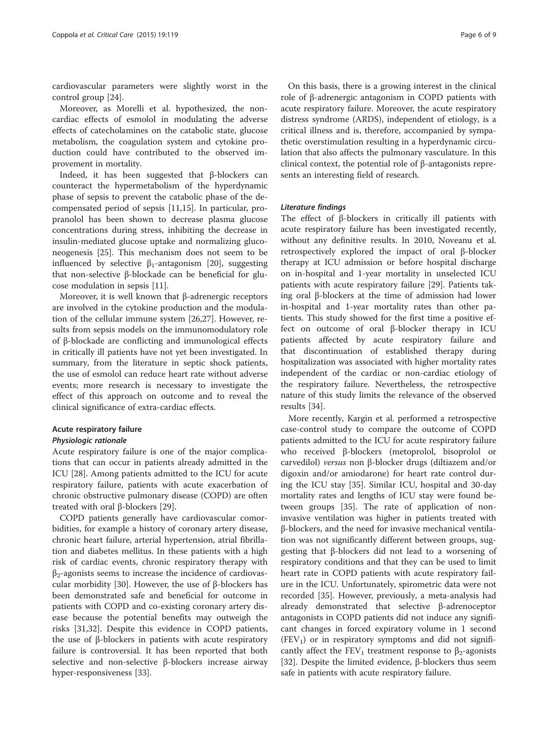cardiovascular parameters were slightly worst in the control group [\[24](#page-7-0)].

Moreover, as Morelli et al. hypothesized, the noncardiac effects of esmolol in modulating the adverse effects of catecholamines on the catabolic state, glucose metabolism, the coagulation system and cytokine production could have contributed to the observed improvement in mortality.

Indeed, it has been suggested that β-blockers can counteract the hypermetabolism of the hyperdynamic phase of sepsis to prevent the catabolic phase of the decompensated period of sepsis [[11](#page-7-0),[15](#page-7-0)]. In particular, propranolol has been shown to decrease plasma glucose concentrations during stress, inhibiting the decrease in insulin-mediated glucose uptake and normalizing gluconeogenesis [\[25](#page-7-0)]. This mechanism does not seem to be influenced by selective  $β_1$ -antagonism [\[20](#page-7-0)], suggesting that non-selective β-blockade can be beneficial for glucose modulation in sepsis [[11\]](#page-7-0).

Moreover, it is well known that β-adrenergic receptors are involved in the cytokine production and the modulation of the cellular immune system [\[26,27](#page-7-0)]. However, results from sepsis models on the immunomodulatory role of β-blockade are conflicting and immunological effects in critically ill patients have not yet been investigated. In summary, from the literature in septic shock patients, the use of esmolol can reduce heart rate without adverse events; more research is necessary to investigate the effect of this approach on outcome and to reveal the clinical significance of extra-cardiac effects.

### Acute respiratory failure

#### Physiologic rationale

Acute respiratory failure is one of the major complications that can occur in patients already admitted in the ICU [\[28](#page-8-0)]. Among patients admitted to the ICU for acute respiratory failure, patients with acute exacerbation of chronic obstructive pulmonary disease (COPD) are often treated with oral  $β$ -blockers [\[29](#page-8-0)].

COPD patients generally have cardiovascular comorbidities, for example a history of coronary artery disease, chronic heart failure, arterial hypertension, atrial fibrillation and diabetes mellitus. In these patients with a high risk of cardiac events, chronic respiratory therapy with  $\beta_2$ -agonists seems to increase the incidence of cardiovascular morbidity [[30\]](#page-8-0). However, the use of β-blockers has been demonstrated safe and beneficial for outcome in patients with COPD and co-existing coronary artery disease because the potential benefits may outweigh the risks [[31](#page-8-0),[32](#page-8-0)]. Despite this evidence in COPD patients, the use of β-blockers in patients with acute respiratory failure is controversial. It has been reported that both selective and non-selective β-blockers increase airway hyper-responsiveness [\[33](#page-8-0)].

On this basis, there is a growing interest in the clinical role of β-adrenergic antagonism in COPD patients with acute respiratory failure. Moreover, the acute respiratory distress syndrome (ARDS), independent of etiology, is a critical illness and is, therefore, accompanied by sympathetic overstimulation resulting in a hyperdynamic circulation that also affects the pulmonary vasculature. In this clinical context, the potential role of β-antagonists represents an interesting field of research.

#### Literature findings

The effect of β-blockers in critically ill patients with acute respiratory failure has been investigated recently, without any definitive results. In 2010, Noveanu et al. retrospectively explored the impact of oral β-blocker therapy at ICU admission or before hospital discharge on in-hospital and 1-year mortality in unselected ICU patients with acute respiratory failure [[29\]](#page-8-0). Patients taking oral β-blockers at the time of admission had lower in-hospital and 1-year mortality rates than other patients. This study showed for the first time a positive effect on outcome of oral β-blocker therapy in ICU patients affected by acute respiratory failure and that discontinuation of established therapy during hospitalization was associated with higher mortality rates independent of the cardiac or non-cardiac etiology of the respiratory failure. Nevertheless, the retrospective nature of this study limits the relevance of the observed results [[34](#page-8-0)].

More recently, Kargin et al. performed a retrospective case-control study to compare the outcome of COPD patients admitted to the ICU for acute respiratory failure who received β-blockers (metoprolol, bisoprolol or carvedilol) versus non β-blocker drugs (diltiazem and/or digoxin and/or amiodarone) for heart rate control during the ICU stay [[35\]](#page-8-0). Similar ICU, hospital and 30-day mortality rates and lengths of ICU stay were found between groups [[35\]](#page-8-0). The rate of application of noninvasive ventilation was higher in patients treated with β-blockers, and the need for invasive mechanical ventilation was not significantly different between groups, suggesting that β-blockers did not lead to a worsening of respiratory conditions and that they can be used to limit heart rate in COPD patients with acute respiratory failure in the ICU. Unfortunately, spirometric data were not recorded [[35\]](#page-8-0). However, previously, a meta-analysis had already demonstrated that selective β-adrenoceptor antagonists in COPD patients did not induce any significant changes in forced expiratory volume in 1 second  $(FEV<sub>1</sub>)$  or in respiratory symptoms and did not significantly affect the FEV<sub>1</sub> treatment response to  $\beta_2$ -agonists [[32\]](#page-8-0). Despite the limited evidence, β-blockers thus seem safe in patients with acute respiratory failure.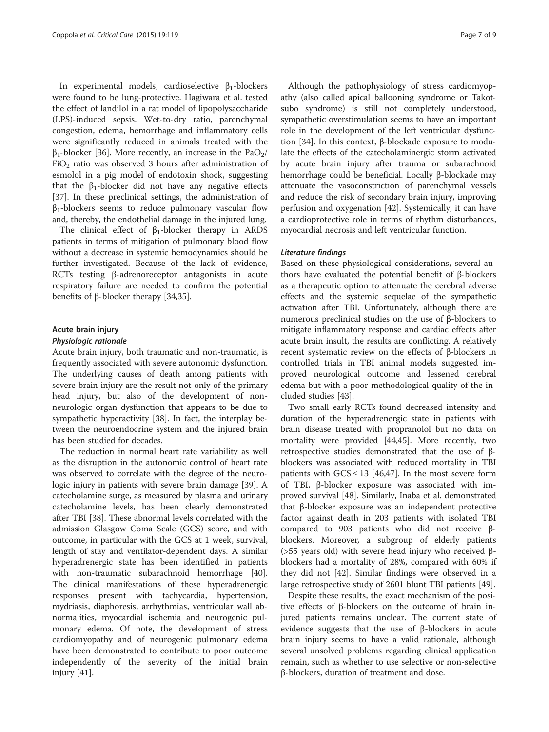In experimental models, cardioselective β1-blockers were found to be lung-protective. Hagiwara et al. tested the effect of landilol in a rat model of lipopolysaccharide (LPS)-induced sepsis. Wet-to-dry ratio, parenchymal congestion, edema, hemorrhage and inflammatory cells were significantly reduced in animals treated with the  $β<sub>1</sub>$ -blocker [[36\]](#page-8-0). More recently, an increase in the PaO<sub>2</sub>/  $FiO<sub>2</sub>$  ratio was observed 3 hours after administration of esmolol in a pig model of endotoxin shock, suggesting that the  $β_1$ -blocker did not have any negative effects [[37\]](#page-8-0). In these preclinical settings, the administration of  $\beta_1$ -blockers seems to reduce pulmonary vascular flow and, thereby, the endothelial damage in the injured lung.

The clinical effect of  $\beta_1$ -blocker therapy in ARDS patients in terms of mitigation of pulmonary blood flow without a decrease in systemic hemodynamics should be further investigated. Because of the lack of evidence, RCTs testing β-adrenoreceptor antagonists in acute respiratory failure are needed to confirm the potential benefits of β-blocker therapy [[34,35\]](#page-8-0).

#### Acute brain injury

#### Physiologic rationale

Acute brain injury, both traumatic and non-traumatic, is frequently associated with severe autonomic dysfunction. The underlying causes of death among patients with severe brain injury are the result not only of the primary head injury, but also of the development of nonneurologic organ dysfunction that appears to be due to sympathetic hyperactivity [[38](#page-8-0)]. In fact, the interplay between the neuroendocrine system and the injured brain has been studied for decades.

The reduction in normal heart rate variability as well as the disruption in the autonomic control of heart rate was observed to correlate with the degree of the neurologic injury in patients with severe brain damage [\[39\]](#page-8-0). A catecholamine surge, as measured by plasma and urinary catecholamine levels, has been clearly demonstrated after TBI [\[38\]](#page-8-0). These abnormal levels correlated with the admission Glasgow Coma Scale (GCS) score, and with outcome, in particular with the GCS at 1 week, survival, length of stay and ventilator-dependent days. A similar hyperadrenergic state has been identified in patients with non-traumatic subarachnoid hemorrhage [\[40](#page-8-0)]. The clinical manifestations of these hyperadrenergic responses present with tachycardia, hypertension, mydriasis, diaphoresis, arrhythmias, ventricular wall abnormalities, myocardial ischemia and neurogenic pulmonary edema. Of note, the development of stress cardiomyopathy and of neurogenic pulmonary edema have been demonstrated to contribute to poor outcome independently of the severity of the initial brain injury [[41](#page-8-0)].

Although the pathophysiology of stress cardiomyopathy (also called apical ballooning syndrome or Takotsubo syndrome) is still not completely understood, sympathetic overstimulation seems to have an important role in the development of the left ventricular dysfunction [\[34](#page-8-0)]. In this context, β-blockade exposure to modulate the effects of the catecholaminergic storm activated by acute brain injury after trauma or subarachnoid hemorrhage could be beneficial. Locally β-blockade may attenuate the vasoconstriction of parenchymal vessels and reduce the risk of secondary brain injury, improving perfusion and oxygenation [\[42](#page-8-0)]. Systemically, it can have a cardioprotective role in terms of rhythm disturbances, myocardial necrosis and left ventricular function.

#### Literature findings

Based on these physiological considerations, several authors have evaluated the potential benefit of β-blockers as a therapeutic option to attenuate the cerebral adverse effects and the systemic sequelae of the sympathetic activation after TBI. Unfortunately, although there are numerous preclinical studies on the use of β-blockers to mitigate inflammatory response and cardiac effects after acute brain insult, the results are conflicting. A relatively recent systematic review on the effects of β-blockers in controlled trials in TBI animal models suggested improved neurological outcome and lessened cerebral edema but with a poor methodological quality of the included studies [\[43\]](#page-8-0).

Two small early RCTs found decreased intensity and duration of the hyperadrenergic state in patients with brain disease treated with propranolol but no data on mortality were provided [[44,45\]](#page-8-0). More recently, two retrospective studies demonstrated that the use of βblockers was associated with reduced mortality in TBI patients with  $GCS \le 13$  [[46,47\]](#page-8-0). In the most severe form of TBI, β-blocker exposure was associated with improved survival [[48\]](#page-8-0). Similarly, Inaba et al. demonstrated that β-blocker exposure was an independent protective factor against death in 203 patients with isolated TBI compared to 903 patients who did not receive βblockers. Moreover, a subgroup of elderly patients ( $>55$  years old) with severe head injury who received βblockers had a mortality of 28%, compared with 60% if they did not [[42\]](#page-8-0). Similar findings were observed in a large retrospective study of 2601 blunt TBI patients [[49](#page-8-0)].

Despite these results, the exact mechanism of the positive effects of β-blockers on the outcome of brain injured patients remains unclear. The current state of evidence suggests that the use of β-blockers in acute brain injury seems to have a valid rationale, although several unsolved problems regarding clinical application remain, such as whether to use selective or non-selective β-blockers, duration of treatment and dose.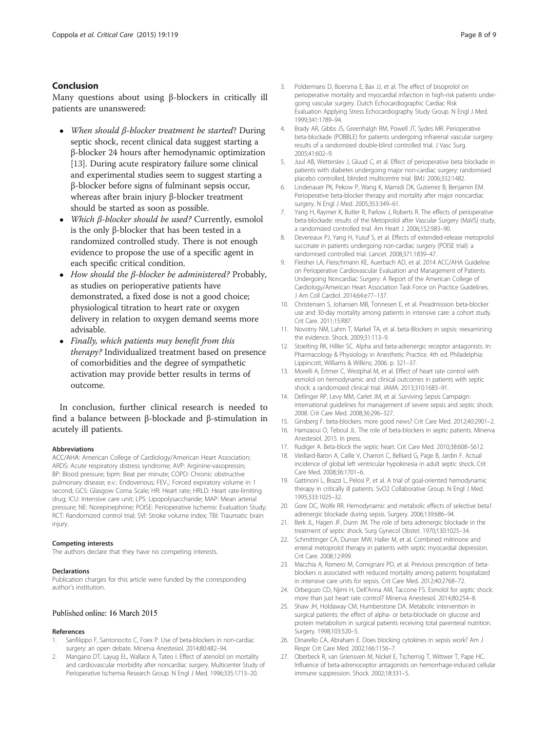#### <span id="page-7-0"></span>Conclusion

Many questions about using β-blockers in critically ill patients are unanswered:

- When should β-blocker treatment be started? During septic shock, recent clinical data suggest starting a β-blocker 24 hours after hemodynamic optimization [13]. During acute respiratory failure some clinical and experimental studies seem to suggest starting a β-blocker before signs of fulminant sepsis occur, whereas after brain injury β-blocker treatment should be started as soon as possible.
- Which β-blocker should be used? Currently, esmolol is the only β-blocker that has been tested in a randomized controlled study. There is not enough evidence to propose the use of a specific agent in each specific critical condition.
- How should the  $β$ -blocker be administered? Probably, as studies on perioperative patients have demonstrated, a fixed dose is not a good choice; physiological titration to heart rate or oxygen delivery in relation to oxygen demand seems more advisable.
- Finally, which patients may benefit from this therapy? Individualized treatment based on presence of comorbidities and the degree of sympathetic activation may provide better results in terms of outcome.

In conclusion, further clinical research is needed to find a balance between β-blockade and β-stimulation in acutely ill patients.

#### Abbreviations

ACC/AHA: American College of Cardiology/American Heart Association; ARDS: Acute respiratory distress syndrome; AVP: Arginine-vasopressin; BP: Blood pressure; bpm: Beat per minute; COPD: Chronic obstructive pulmonary disease; e.v.: Endovenous; FEV<sub>1</sub>: Forced expiratory volume in 1 second; GCS: Glasgow Coma Scale; HR: Heart rate; HRLD: Heart rate-limiting drug; ICU: Intensive care unit; LPS: Lipopolysaccharide; MAP: Mean arterial pressure; NE: Norepinephrine; POISE: Perioperative Ischemic Evaluation Study; RCT: Randomized control trial; SVI: Stroke volume index; TBI: Traumatic brain injury.

#### Competing interests

The authors declare that they have no competing interests.

#### Declarations

Publication charges for this article were funded by the corresponding author's institution.

#### Published online: 16 March 2015

#### References

- 1. Sanfilippo F, Santonocito C, Foex P. Use of beta-blockers in non-cardiac surgery: an open debate. Minerva Anestesiol. 2014;80:482–94.
- 2. Mangano DT, Layug EL, Wallace A, Tateo I. Effect of atenolol on mortality and cardiovascular morbidity after noncardiac surgery. Multicenter Study of Perioperative Ischemia Research Group. N Engl J Med. 1996;335:1713–20.
- 3. Poldermans D, Boersma E, Bax JJ, et al. The effect of bisoprolol on perioperative mortality and myocardial infarction in high-risk patients undergoing vascular surgery. Dutch Echocardiographic Cardiac Risk Evaluation Applying Stress Echocardiography Study Group. N Engl J Med. 1999;341:1789–94.
- 4. Brady AR, Gibbs JS, Greenhalgh RM, Powell JT, Sydes MR. Perioperative beta-blockade (POBBLE) for patients undergoing infrarenal vascular surgery: results of a randomized double-blind controlled trial. J Vasc Surg. 2005;41:602–9.
- 5. Juul AB, Wetterslev J, Gluud C, et al. Effect of perioperative beta blockade in patients with diabetes undergoing major non-cardiac surgery: randomised placebo controlled, blinded multicentre trial. BMJ. 2006;332:1482.
- 6. Lindenauer PK, Pekow P, Wang K, Mamidi DK, Gutierrez B, Benjamin EM. Perioperative beta-blocker therapy and mortality after major noncardiac surgery. N Engl J Med. 2005;353:349–61.
- 7. Yang H, Raymer K, Butler R, Parlow J, Roberts R. The effects of perioperative beta-blockade: results of the Metoprolol after Vascular Surgery (MaVS) study, a randomized controlled trial. Am Heart J. 2006;152:983–90.
- 8. Devereaux PJ, Yang H, Yusuf S, et al. Effects of extended-release metoprolol succinate in patients undergoing non-cardiac surgery (POISE trial): a randomised controlled trial. Lancet. 2008;371:1839–47.
- 9. Fleisher LA, Fleischmann KE, Auerbach AD, et al. 2014 ACC/AHA Guideline on Perioperative Cardiovascular Evaluation and Management of Patients Undergoing Noncardiac Surgery: A Report of the American College of Cardiology/American Heart Association Task Force on Practice Guidelines. J Am Coll Cardiol. 2014;64:e77–137.
- 10. Christensen S, Johansen MB, Tonnesen E, et al. Preadmission beta-blocker use and 30-day mortality among patients in intensive care: a cohort study. Crit Care. 2011;15:R87.
- 11. Novotny NM, Lahm T, Markel TA, et al. beta-Blockers in sepsis: reexamining the evidence. Shock. 2009;31:113–9.
- 12. Stoelting RK, Hilller SC. Alpha and beta-adrenergic receptor antagonists. In: Pharmacology & Physiology in Anesthetic Practice. 4th ed. Philadelphia: Lippincott, Williams & Wilkins; 2006. p. 321–37.
- 13. Morelli A, Ertmer C, Westphal M, et al. Effect of heart rate control with esmolol on hemodynamic and clinical outcomes in patients with septic shock: a randomized clinical trial. JAMA. 2013;310:1683–91.
- 14. Dellinger RP, Levy MM, Carlet JM, et al. Surviving Sepsis Campaign: international guidelines for management of severe sepsis and septic shock: 2008. Crit Care Med. 2008;36:296–327.
- 15. Ginsberg F. beta-blockers: more good news? Crit Care Med. 2012;40:2901–2.
- 16. Hamzaoui O, Teboul JL. The role of beta-blockers in septic patients. Minerva Anestesiol. 2015. in press.
- 17. Rudiger A. Beta-block the septic heart. Crit Care Med. 2010;38:608–S612.
- 18. Vieillard-Baron A, Caille V, Charron C, Belliard G, Page B, Jardin F. Actual incidence of global left ventricular hypokinesia in adult septic shock. Crit Care Med. 2008;36:1701–6.
- 19. Gattinoni L, Brazzi L, Pelosi P, et al. A trial of goal-oriented hemodynamic therapy in critically ill patients. SvO2 Collaborative Group. N Engl J Med. 1995;333:1025–32.
- 20. Gore DC, Wolfe RR. Hemodynamic and metabolic effects of selective beta1 adrenergic blockade during sepsis. Surgery. 2006;139:686–94.
- 21. Berk JL, Hagen JF, Dunn JM. The role of beta adrenergic blockade in the treatment of septic shock. Surg Gynecol Obstet. 1970;130:1025–34.
- 22. Schmittinger CA, Dunser MW, Haller M, et al. Combined milrinone and enteral metoprolol therapy in patients with septic myocardial depression. Crit Care. 2008;12:R99.
- 23. Macchia A, Romero M, Comignani PD, et al. Previous prescription of betablockers is associated with reduced mortality among patients hospitalized in intensive care units for sepsis. Crit Care Med. 2012;40:2768–72.
- 24. Orbegozo CD, Njimi H, Dell'Anna AM, Taccone FS. Esmolol for septic shock: more than just heart rate control? Minerva Anestesiol. 2014;80:254–8.
- 25. Shaw JH, Holdaway CM, Humberstone DA. Metabolic intervention in surgical patients: the effect of alpha- or beta-blockade on glucose and protein metabolism in surgical patients receiving total parenteral nutrition. Surgery. 1998;103:520–5.
- 26. Dinarello CA, Abraham E. Does blocking cytokines in sepsis work? Am J Respir Crit Care Med. 2002;166:1156–7.
- 27. Oberbeck R, van Griensven M, Nickel E, Tschernig T, Wittwer T, Pape HC. Influence of beta-adrenoceptor antagonists on hemorrhage-induced cellular immune suppression. Shock. 2002;18:331–5.